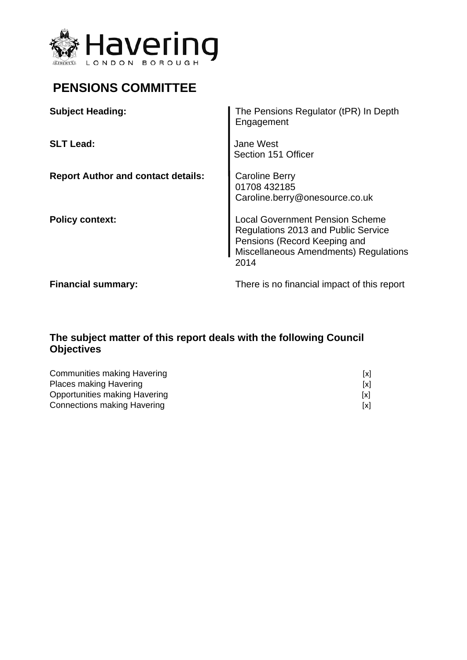

# **PENSIONS COMMITTEE**

| <b>Subject Heading:</b>                   | The Pensions Regulator (tPR) In Depth<br>Engagement                                                                                                            |
|-------------------------------------------|----------------------------------------------------------------------------------------------------------------------------------------------------------------|
| <b>SLT Lead:</b>                          | Jane West<br>Section 151 Officer                                                                                                                               |
| <b>Report Author and contact details:</b> | <b>Caroline Berry</b><br>01708 432185<br>Caroline.berry@onesource.co.uk                                                                                        |
| <b>Policy context:</b>                    | <b>Local Government Pension Scheme</b><br>Regulations 2013 and Public Service<br>Pensions (Record Keeping and<br>Miscellaneous Amendments) Regulations<br>2014 |
| <b>Financial summary:</b>                 | There is no financial impact of this report                                                                                                                    |

## **The subject matter of this report deals with the following Council Objectives**

| Communities making Havering   | Ixl |
|-------------------------------|-----|
| Places making Havering        | [x] |
| Opportunities making Havering | IxI |
| Connections making Havering   | [x] |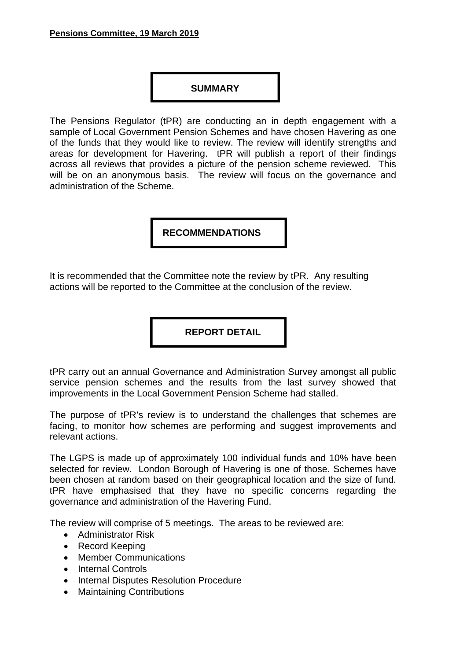## **SUMMARY**

The Pensions Regulator (tPR) are conducting an in depth engagement with a sample of Local Government Pension Schemes and have chosen Havering as one of the funds that they would like to review. The review will identify strengths and areas for development for Havering. tPR will publish a report of their findings across all reviews that provides a picture of the pension scheme reviewed. This will be on an anonymous basis. The review will focus on the governance and administration of the Scheme.

## **RECOMMENDATIONS**

It is recommended that the Committee note the review by tPR. Any resulting actions will be reported to the Committee at the conclusion of the review.

## **REPORT DETAIL**

tPR carry out an annual Governance and Administration Survey amongst all public service pension schemes and the results from the last survey showed that improvements in the Local Government Pension Scheme had stalled.

The purpose of tPR's review is to understand the challenges that schemes are facing, to monitor how schemes are performing and suggest improvements and relevant actions.

The LGPS is made up of approximately 100 individual funds and 10% have been selected for review. London Borough of Havering is one of those. Schemes have been chosen at random based on their geographical location and the size of fund. tPR have emphasised that they have no specific concerns regarding the governance and administration of the Havering Fund.

The review will comprise of 5 meetings. The areas to be reviewed are:

- Administrator Risk
- Record Keeping
- Member Communications
- Internal Controls
- Internal Disputes Resolution Procedure
- Maintaining Contributions